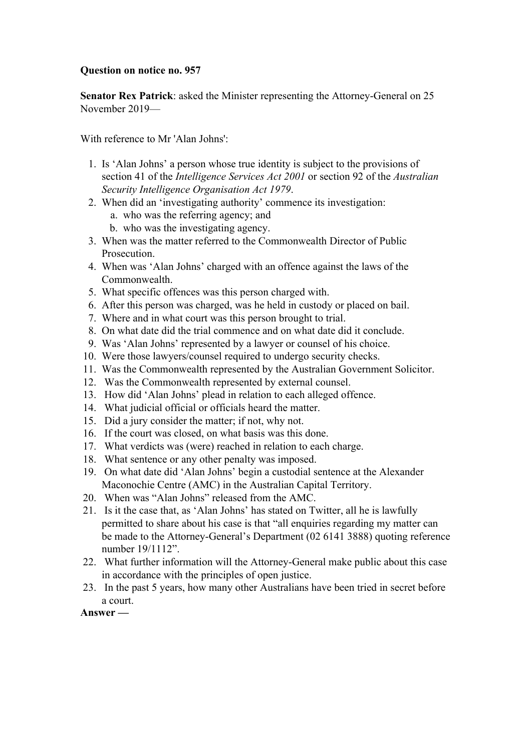## **Question on notice no. 957**

**Senator Rex Patrick**: asked the Minister representing the Attorney-General on 25 November 2019—

With reference to Mr 'Alan Johns':

- 1. Is 'Alan Johns' a person whose true identity is subject to the provisions of section 41 of the *Intelligence Services Act 2001* or section 92 of the *Australian Security Intelligence Organisation Act 1979*.
- 2. When did an 'investigating authority' commence its investigation:
	- a. who was the referring agency; and
	- b. who was the investigating agency.
- 3. When was the matter referred to the Commonwealth Director of Public Prosecution.
- 4. When was 'Alan Johns' charged with an offence against the laws of the Commonwealth.
- 5. What specific offences was this person charged with.
- 6. After this person was charged, was he held in custody or placed on bail.
- 7. Where and in what court was this person brought to trial.
- 8. On what date did the trial commence and on what date did it conclude.
- 9. Was 'Alan Johns' represented by a lawyer or counsel of his choice.
- 10. Were those lawyers/counsel required to undergo security checks.
- 11. Was the Commonwealth represented by the Australian Government Solicitor.
- 12. Was the Commonwealth represented by external counsel.
- 13. How did 'Alan Johns' plead in relation to each alleged offence.
- 14. What judicial official or officials heard the matter.
- 15. Did a jury consider the matter; if not, why not.
- 16. If the court was closed, on what basis was this done.
- 17. What verdicts was (were) reached in relation to each charge.
- 18. What sentence or any other penalty was imposed.
- 19. On what date did 'Alan Johns' begin a custodial sentence at the Alexander Maconochie Centre (AMC) in the Australian Capital Territory.
- 20. When was "Alan Johns" released from the AMC.
- 21. Is it the case that, as 'Alan Johns' has stated on Twitter, all he is lawfully permitted to share about his case is that "all enquiries regarding my matter can be made to the Attorney-General's Department (02 6141 3888) quoting reference number 19/1112".
- 22. What further information will the Attorney-General make public about this case in accordance with the principles of open justice.
- 23. In the past 5 years, how many other Australians have been tried in secret before a court.

**Answer —**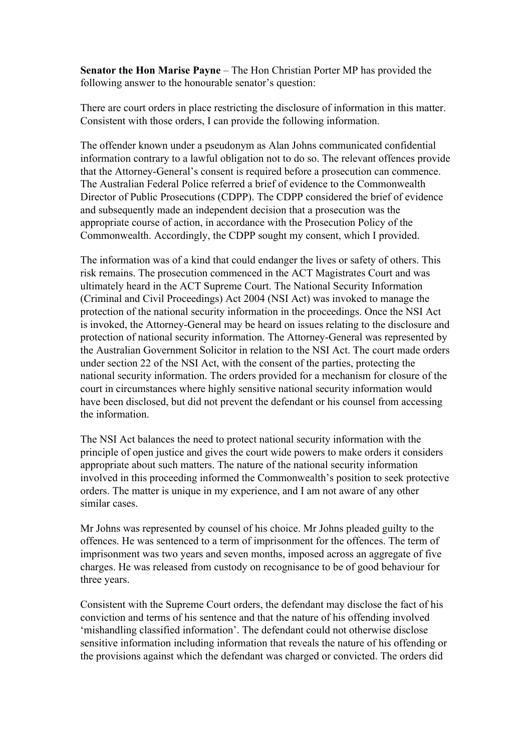**Senator the Hon Marise Payne** – The Hon Christian Porter MP has provided the following answer to the honourable senator's question:

There are court orders in place restricting the disclosure of information in this matter. Consistent with those orders, I can provide the following information.

The offender known under a pseudonym as Alan Johns communicated confidential information contrary to a lawful obligation not to do so. The relevant offences provide that the Attorney-General's consent is required before a prosecution can commence. The Australian Federal Police referred a brief of evidence to the Commonwealth Director of Public Prosecutions (CDPP). The CDPP considered the brief of evidence and subsequently made an independent decision that a prosecution was the appropriate course of action, in accordance with the Prosecution Policy of the Commonwealth. Accordingly, the CDPP sought my consent, which I provided.

The information was of a kind that could endanger the lives or safety of others. This risk remains. The prosecution commenced in the ACT Magistrates Court and was ultimately heard in the ACT Supreme Court. The National Security Information (Criminal and Civil Proceedings) Act 2004 (NSI Act) was invoked to manage the protection of the national security information in the proceedings. Once the NSI Act is invoked, the Attorney-General may be heard on issues relating to the disclosure and protection of national security information. The Attorney-General was represented by the Australian Government Solicitor in relation to the NSI Act. The court made orders under section 22 of the NSI Act, with the consent of the parties, protecting the national security information. The orders provided for a mechanism for closure of the court in circumstances where highly sensitive national security information would have been disclosed, but did not prevent the defendant or his counsel from accessing the information.

The NSI Act balances the need to protect national security information with the principle of open justice and gives the court wide powers to make orders it considers appropriate about such matters. The nature of the national security information involved in this proceeding informed the Commonwealth's position to seek protective orders. The matter is unique in my experience, and I am not aware of any other similar cases.

Mr Johns was represented by counsel of his choice. Mr Johns pleaded guilty to the offences. He was sentenced to a term of imprisonment for the offences. The term of imprisonment was two years and seven months, imposed across an aggregate of five charges. He was released from custody on recognisance to be of good behaviour for three years.

Consistent with the Supreme Court orders, the defendant may disclose the fact of his conviction and terms of his sentence and that the nature of his offending involved 'mishandling classified information'. The defendant could not otherwise disclose sensitive information including information that reveals the nature of his offending or the provisions against which the defendant was charged or convicted. The orders did